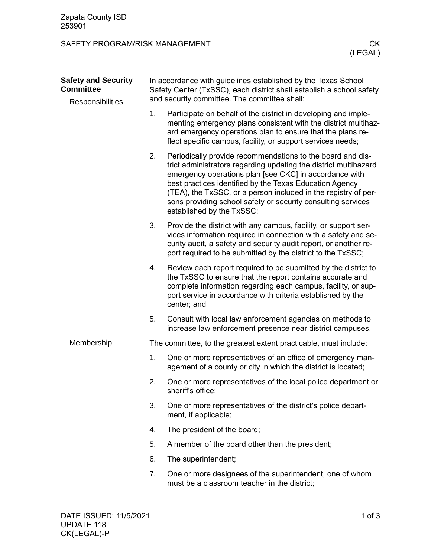## SAFETY PROGRAM/RISK MANAGEMENT **CK**

| <b>Safety and Security</b><br><b>Committee</b> |                                              | In accordance with guidelines established by the Texas School<br>Safety Center (TxSSC), each district shall establish a school safety                                                                                                                                                                                                                                                                              |  |
|------------------------------------------------|----------------------------------------------|--------------------------------------------------------------------------------------------------------------------------------------------------------------------------------------------------------------------------------------------------------------------------------------------------------------------------------------------------------------------------------------------------------------------|--|
| Responsibilities                               | and security committee. The committee shall: |                                                                                                                                                                                                                                                                                                                                                                                                                    |  |
|                                                | 1.                                           | Participate on behalf of the district in developing and imple-<br>menting emergency plans consistent with the district multihaz-<br>ard emergency operations plan to ensure that the plans re-<br>flect specific campus, facility, or support services needs;                                                                                                                                                      |  |
|                                                | 2.                                           | Periodically provide recommendations to the board and dis-<br>trict administrators regarding updating the district multihazard<br>emergency operations plan [see CKC] in accordance with<br>best practices identified by the Texas Education Agency<br>(TEA), the TxSSC, or a person included in the registry of per-<br>sons providing school safety or security consulting services<br>established by the TxSSC; |  |
|                                                | 3.                                           | Provide the district with any campus, facility, or support ser-<br>vices information required in connection with a safety and se-<br>curity audit, a safety and security audit report, or another re-<br>port required to be submitted by the district to the TxSSC;                                                                                                                                               |  |
|                                                | 4.                                           | Review each report required to be submitted by the district to<br>the TxSSC to ensure that the report contains accurate and<br>complete information regarding each campus, facility, or sup-<br>port service in accordance with criteria established by the<br>center; and                                                                                                                                         |  |
|                                                | 5.                                           | Consult with local law enforcement agencies on methods to<br>increase law enforcement presence near district campuses.                                                                                                                                                                                                                                                                                             |  |
| Membership                                     |                                              | The committee, to the greatest extent practicable, must include:                                                                                                                                                                                                                                                                                                                                                   |  |
|                                                | 1.                                           | One or more representatives of an office of emergency man-<br>agement of a county or city in which the district is located;                                                                                                                                                                                                                                                                                        |  |
|                                                | 2.                                           | One or more representatives of the local police department or<br>sheriff's office;                                                                                                                                                                                                                                                                                                                                 |  |
|                                                | 3.                                           | One or more representatives of the district's police depart-<br>ment, if applicable;                                                                                                                                                                                                                                                                                                                               |  |
|                                                | 4.                                           | The president of the board;                                                                                                                                                                                                                                                                                                                                                                                        |  |
|                                                | 5.                                           | A member of the board other than the president;                                                                                                                                                                                                                                                                                                                                                                    |  |
|                                                | 6.                                           | The superintendent;                                                                                                                                                                                                                                                                                                                                                                                                |  |
|                                                | 7.                                           | One or more designees of the superintendent, one of whom<br>must be a classroom teacher in the district;                                                                                                                                                                                                                                                                                                           |  |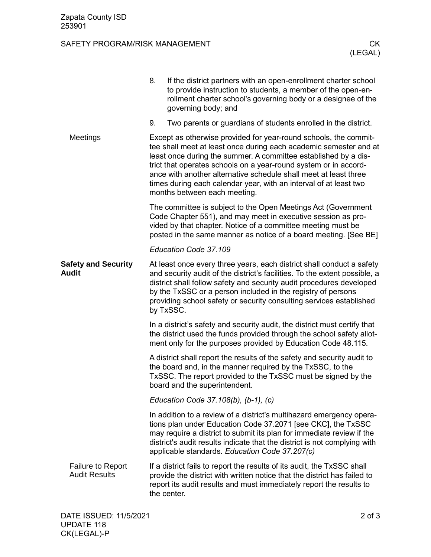## SAFETY PROGRAM/RISK MANAGEMENT **CK**

|                                                  | 8.                                                                                                                                                                                                                                                                                                                                                                                                                                                    | If the district partners with an open-enrollment charter school<br>to provide instruction to students, a member of the open-en-<br>rollment charter school's governing body or a designee of the<br>governing body; and                                                                                                                      |  |  |
|--------------------------------------------------|-------------------------------------------------------------------------------------------------------------------------------------------------------------------------------------------------------------------------------------------------------------------------------------------------------------------------------------------------------------------------------------------------------------------------------------------------------|----------------------------------------------------------------------------------------------------------------------------------------------------------------------------------------------------------------------------------------------------------------------------------------------------------------------------------------------|--|--|
|                                                  | 9.                                                                                                                                                                                                                                                                                                                                                                                                                                                    | Two parents or guardians of students enrolled in the district.                                                                                                                                                                                                                                                                               |  |  |
| Meetings                                         | Except as otherwise provided for year-round schools, the commit-<br>tee shall meet at least once during each academic semester and at<br>least once during the summer. A committee established by a dis-<br>trict that operates schools on a year-round system or in accord-<br>ance with another alternative schedule shall meet at least three<br>times during each calendar year, with an interval of at least two<br>months between each meeting. |                                                                                                                                                                                                                                                                                                                                              |  |  |
|                                                  | The committee is subject to the Open Meetings Act (Government<br>Code Chapter 551), and may meet in executive session as pro-<br>vided by that chapter. Notice of a committee meeting must be<br>posted in the same manner as notice of a board meeting. [See BE]                                                                                                                                                                                     |                                                                                                                                                                                                                                                                                                                                              |  |  |
|                                                  | Education Code 37.109                                                                                                                                                                                                                                                                                                                                                                                                                                 |                                                                                                                                                                                                                                                                                                                                              |  |  |
| <b>Safety and Security</b><br>Audit              | At least once every three years, each district shall conduct a safety<br>and security audit of the district's facilities. To the extent possible, a<br>district shall follow safety and security audit procedures developed<br>by the TxSSC or a person included in the registry of persons<br>providing school safety or security consulting services established<br>by TxSSC.                                                                       |                                                                                                                                                                                                                                                                                                                                              |  |  |
|                                                  |                                                                                                                                                                                                                                                                                                                                                                                                                                                       | In a district's safety and security audit, the district must certify that<br>the district used the funds provided through the school safety allot-<br>ment only for the purposes provided by Education Code 48.115.                                                                                                                          |  |  |
|                                                  | A district shall report the results of the safety and security audit to<br>the board and, in the manner required by the TxSSC, to the<br>TxSSC. The report provided to the TxSSC must be signed by the<br>board and the superintendent.                                                                                                                                                                                                               |                                                                                                                                                                                                                                                                                                                                              |  |  |
|                                                  | Education Code 37.108(b), (b-1), (c)                                                                                                                                                                                                                                                                                                                                                                                                                  |                                                                                                                                                                                                                                                                                                                                              |  |  |
|                                                  |                                                                                                                                                                                                                                                                                                                                                                                                                                                       | In addition to a review of a district's multihazard emergency opera-<br>tions plan under Education Code 37.2071 [see CKC], the TxSSC<br>may require a district to submit its plan for immediate review if the<br>district's audit results indicate that the district is not complying with<br>applicable standards. Education Code 37.207(c) |  |  |
| <b>Failure to Report</b><br><b>Audit Results</b> |                                                                                                                                                                                                                                                                                                                                                                                                                                                       | If a district fails to report the results of its audit, the TxSSC shall<br>provide the district with written notice that the district has failed to<br>report its audit results and must immediately report the results to<br>the center.                                                                                                    |  |  |